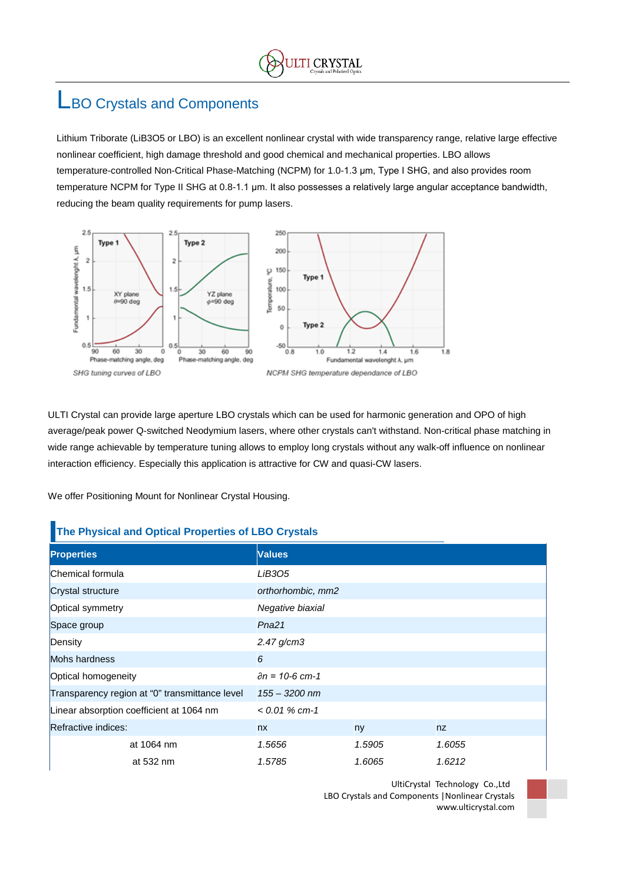## LBO Crystals and Components

Lithium Triborate (LiB3O5 or LBO) is an excellent nonlinear crystal with wide transparency range, relative large effective nonlinear coefficient, high damage threshold and good chemical and mechanical properties. LBO allows temperature-controlled Non-Critical Phase-Matching (NCPM) for 1.0-1.3 μm, Type I SHG, and also provides room temperature NCPM for Type II SHG at 0.8-1.1 μm. It also possesses a relatively large angular acceptance bandwidth, reducing the beam quality requirements for pump lasers.



ULTI Crystal can provide large aperture LBO crystals which can be used for harmonic generation and OPO of high average/peak power Q-switched Neodymium lasers, where other crystals can't withstand. Non-critical phase matching in wide range achievable by temperature tuning allows to employ long crystals without any walk-off influence on nonlinear interaction efficiency. Especially this application is attractive for CW and quasi-CW lasers.

We offer Positioning Mount for Nonlinear Crystal Housing.

## **The Physical and Optical Properties of LBO Crystals**

| <b>Properties</b>                              | <b>Values</b>              |        |        |
|------------------------------------------------|----------------------------|--------|--------|
| Chemical formula                               | <b>LiB305</b>              |        |        |
| Crystal structure                              | orthorhombic, mm2          |        |        |
| Optical symmetry                               | Negative biaxial           |        |        |
| Space group                                    | Pna <sub>21</sub>          |        |        |
| Density                                        | 2.47 g/cm3                 |        |        |
| Mohs hardness                                  | 6                          |        |        |
| Optical homogeneity                            | $\partial n = 10 - 6$ cm-1 |        |        |
| Transparency region at "0" transmittance level | $155 - 3200$ nm            |        |        |
| Linear absorption coefficient at 1064 nm       | $< 0.01 %$ cm-1            |        |        |
| Refractive indices:                            | nx                         | ny     | nz.    |
| at 1064 nm                                     | 1.5656                     | 1.5905 | 1.6055 |
| at 532 nm                                      | 1.5785                     | 1.6065 | 1.6212 |

UltiCrystal Technology Co.,Ltd LBO Crystals and Components |Nonlinear Crystals www.ulticrystal.com

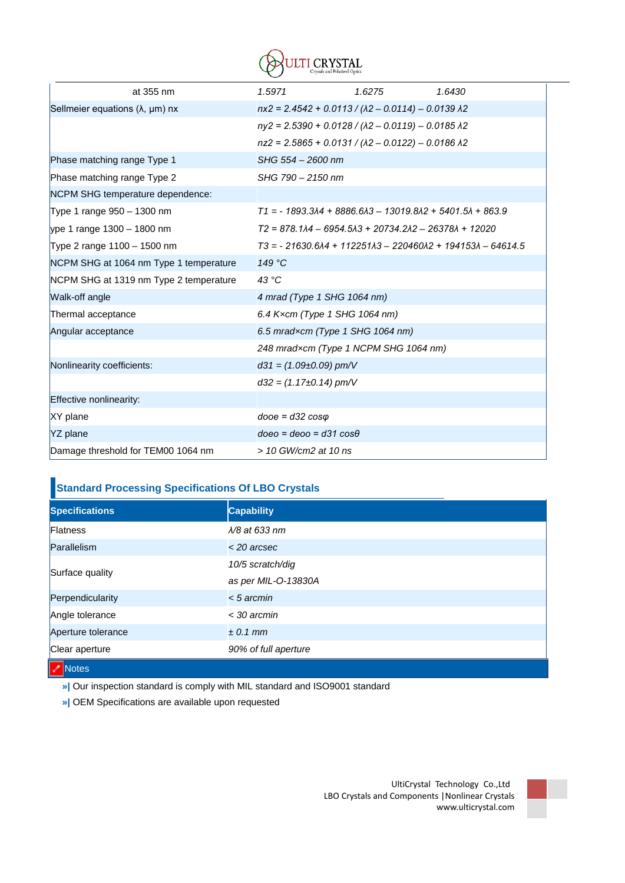

| at 355 nm                                 | 1.5971                        | 1.6275                                                          | 1.6430                                                                              |
|-------------------------------------------|-------------------------------|-----------------------------------------------------------------|-------------------------------------------------------------------------------------|
| Sellmeier equations $(\lambda, \mu m)$ nx |                               | $nx2 = 2.4542 + 0.0113 / (\lambda2 - 0.0114) - 0.0139 \lambda2$ |                                                                                     |
|                                           |                               | $ny2 = 2.5390 + 0.0128 / (\lambda2 - 0.0119) - 0.0185 \lambda2$ |                                                                                     |
|                                           |                               | $nz2 = 2.5865 + 0.0131 / (\lambda2 - 0.0122) - 0.0186 \lambda2$ |                                                                                     |
| Phase matching range Type 1               | SHG 554 - 2600 nm             |                                                                 |                                                                                     |
| Phase matching range Type 2               | SHG 790 - 2150 nm             |                                                                 |                                                                                     |
| NCPM SHG temperature dependence:          |                               |                                                                 |                                                                                     |
| Type 1 range 950 - 1300 nm                |                               |                                                                 | $T1 = -1893.3\lambda4 + 8886.6\lambda3 - 13019.8\lambda2 + 5401.5\lambda + 863.9$   |
| ype 1 range 1300 - 1800 nm                |                               | T2 = 878.1 A4 - 6954.5 A3 + 20734.2 A2 - 26378 A + 12020        |                                                                                     |
| Type 2 range 1100 - 1500 nm               |                               |                                                                 | $T3 = -21630.6\lambda4 + 112251\lambda3 - 220460\lambda2 + 194153\lambda - 64614.5$ |
| NCPM SHG at 1064 nm Type 1 temperature    | 149 °C                        |                                                                 |                                                                                     |
| NCPM SHG at 1319 nm Type 2 temperature    | 43 °C                         |                                                                 |                                                                                     |
| Walk-off angle                            |                               | 4 mrad (Type 1 SHG 1064 nm)                                     |                                                                                     |
| Thermal acceptance                        |                               | 6.4 Kxcm (Type 1 SHG 1064 nm)                                   |                                                                                     |
| Angular acceptance                        |                               | 6.5 mradxcm (Type 1 SHG 1064 nm)                                |                                                                                     |
|                                           |                               | 248 mradxcm (Type 1 NCPM SHG 1064 nm)                           |                                                                                     |
| Nonlinearity coefficients:                | $d31 = (1.09 \pm 0.09)$ pm/V  |                                                                 |                                                                                     |
|                                           | $d32 = (1.17 \pm 0.14)$ pm/V  |                                                                 |                                                                                     |
| Effective nonlinearity:                   |                               |                                                                 |                                                                                     |
| XY plane                                  | $dooe = d32 cos\varphi$       |                                                                 |                                                                                     |
| YZ plane                                  | $doeo = deoo = d31 cos\theta$ |                                                                 |                                                                                     |
| Damage threshold for TEM00 1064 nm        | > 10 GW/cm2 at 10 ns          |                                                                 |                                                                                     |

## **Standard Processing Specifications Of LBO Crystals**

| <b>Specifications</b> | <b>Capability</b>      |
|-----------------------|------------------------|
| <b>Flatness</b>       | $\lambda$ /8 at 633 nm |
| Parallelism           | $<$ 20 arcsec          |
| Surface quality       | 10/5 scratch/dig       |
|                       | as per MIL-O-13830A    |
| Perpendicularity      | $< 5$ arcmin           |
| Angle tolerance       | $<$ 30 arcmin          |
| Aperture tolerance    | $\pm$ 0.1 mm           |
| Clear aperture        | 90% of full aperture   |
| <b>A</b> Notes        |                        |

Notes

**»|** Our inspection standard is comply with MIL standard and ISO9001 standard

**»|** OEM Specifications are available upon requested